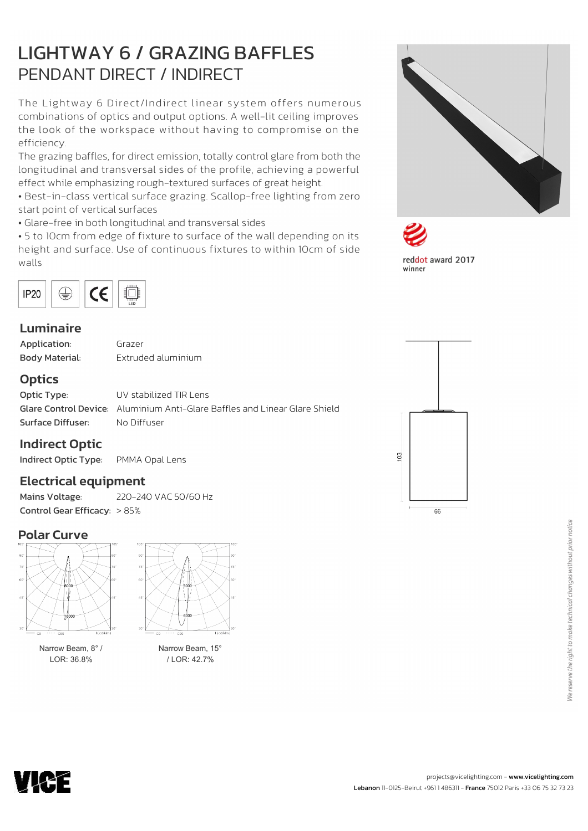# LIGHTWAY 6 / GRAZING BAFFLES PENDANT DIRECT / INDIRECT

The Lightway 6 Direct/Indirect linear system offers numerous combinations of optics and output options. A well-lit ceiling improves the look of the workspace without having to compromise on the efficiency.

The grazing baffles, for direct emission, totally control glare from both the longitudinal and transversal sides of the profile, achieving a powerful effect while emphasizing rough-textured surfaces of great height.

• Best-in-class vertical surface grazing. Scallop-free lighting from zero start point of vertical surfaces

• Glare-free in both longitudinal and transversal sides

• 5 to 10cm from edge of fixture to surface of the wall depending on its height and surface. Use of continuous fixtures to within 10cm of side walls



### Luminaire

| Application:          |  |  |  |  |  |  |  |  |  |  |  |
|-----------------------|--|--|--|--|--|--|--|--|--|--|--|
| <b>Body Material:</b> |  |  |  |  |  |  |  |  |  |  |  |

Grazer Extruded aluminium

### **Optics**

**Optic Type:** UV stabilized TIR Lens Glare Control Device: Aluminium Anti-Glare Baffles and Linear Glare Shield Surface Diffuser: No Diffuser

### Indirect Optic

Indirect Optic Type: PMMA Opal Lens

### Electrical equipment

Mains Voltage: 220-240 VAC 50/60 Hz Control Gear Efficacy: > 85%

### Polar Curve



Narrow Beam, 8° / LOR: 36.8%



Narrow Beam, 15° / LOR: 42.7%









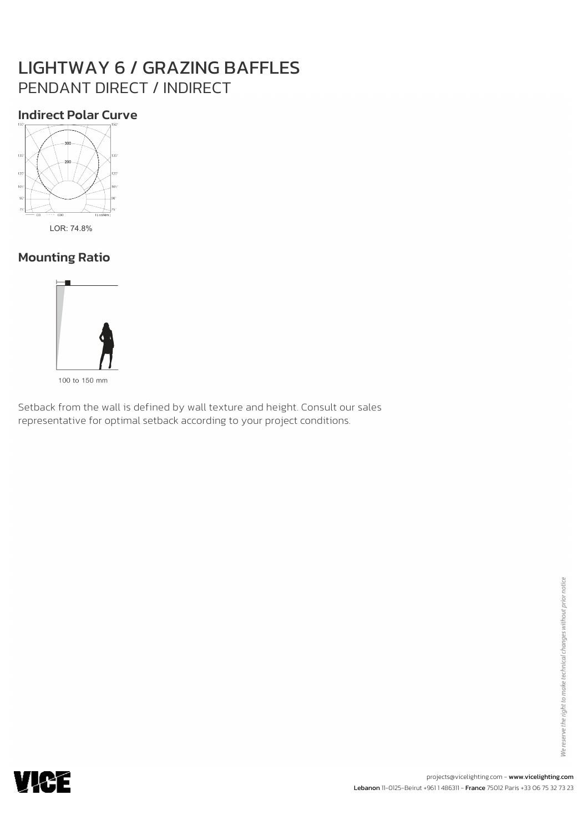# LIGHTWAY 6 / GRAZING BAFFLES PENDANT DIRECT / INDIRECT

## Indirect Polar Curve



LOR: 74.8%

# Mounting Ratio



100 to 150 mm

Setback from the wall is defined by wall texture and height. Consult our sales representative for optimal setback according to your project conditions.